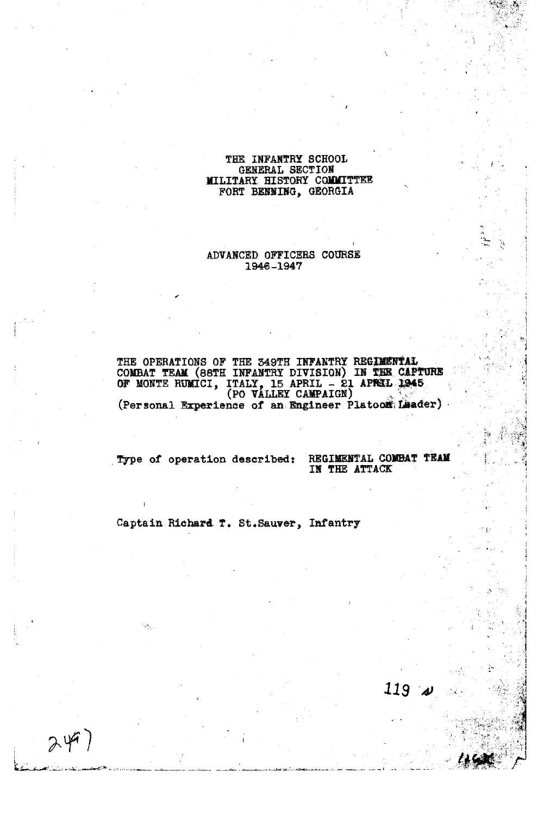# THE INFANTRY SCHOOL GENERAL SECTION MILITARY **HISTaRY COYYITTEZ**  FORT BENNING, GEORGIA

# ADVANCED OFFICERS COURSE 1946-1947

THE OPERATIONS OF THE 349TH **INFANTRY REGIMENTAL COMBAT TEAM (88TH INFANTRY DIVISION) IN THE CAPTURE OF MONTE RUMICI, ITALY, 15 APRIL - 21 APRIL 1945 (PO VALLEY CAMPAIGN)**  $\mathbb{Z}^3$ (Personal Experience of an Engineer Platoon Leader)

Type of operation described: REGIMENTAL COMBAT TEAM

 $249)$ 

IN THE ATTACK

119

Captain Richard T. St.Sauver, Infantry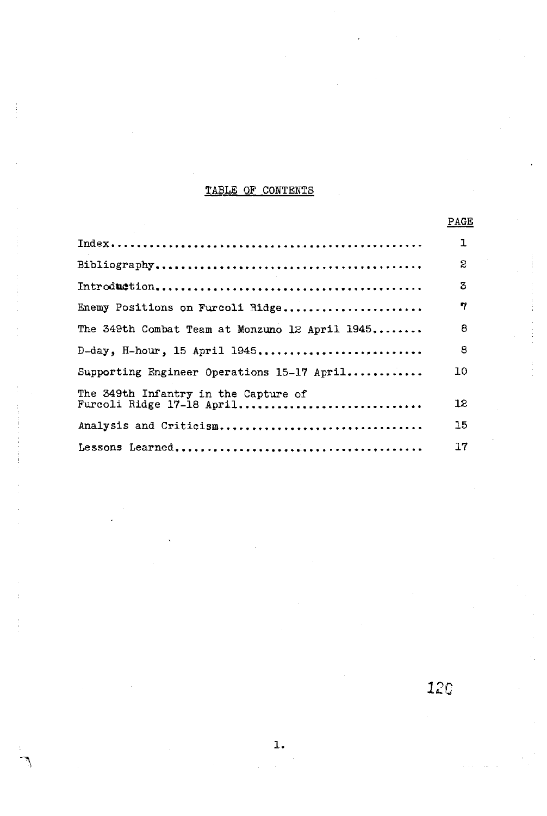# TABLE OF CONTENTS

| TABLE OF CONTENTS                                                 |      |  |
|-------------------------------------------------------------------|------|--|
|                                                                   | PAGE |  |
|                                                                   | ı    |  |
|                                                                   | S    |  |
|                                                                   | 3    |  |
| Enemy Positions on Furcoli Ridge                                  | 7    |  |
| The 349th Combat Team at Monzuno 12 April 1945                    | 8    |  |
| $D$ -day, H-hour, 15 April 1945                                   | 8    |  |
| Supporting Engineer Operations 15-17 April                        | 10   |  |
| The 349th Infantry in the Capture of<br>Furcoli Ridge 17-18 April | 12   |  |
| Analysis and Criticism                                            | 15   |  |
|                                                                   | 17   |  |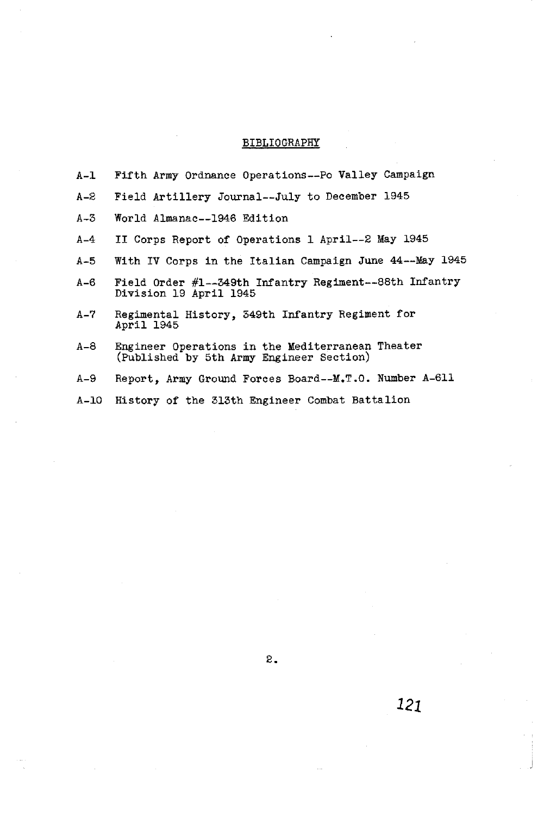# BIBLIOGRAPHY

| A-1  | Fifth Army Ordnance Operations--Po Valley Campaign                                           |
|------|----------------------------------------------------------------------------------------------|
| S-A  | Field Artillery Journal--July to December 1945                                               |
| A-3  | World Almanac--1946 Edition                                                                  |
| A-4  | II Corps Report of Operations 1 April--2 May 1945                                            |
| A-5  | With IV Corps in the Italian Campaign June 44--May 1945                                      |
| A-6  | Field Order #1--349th Infantry Regiment--88th Infantry<br>Division 19 April 1945             |
| A-7  | Regimental History, 349th Infantry Regiment for<br>April 1945                                |
| A-8  | Engineer Operations in the Mediterranean Theater<br>(Published by 5th Army Engineer Section) |
| A-9  | Report, Army Ground Forces Board--M.T.O. Number A-611                                        |
| A-10 | History of the 313th Engineer Combat Battalion                                               |

 $\overline{z}$ .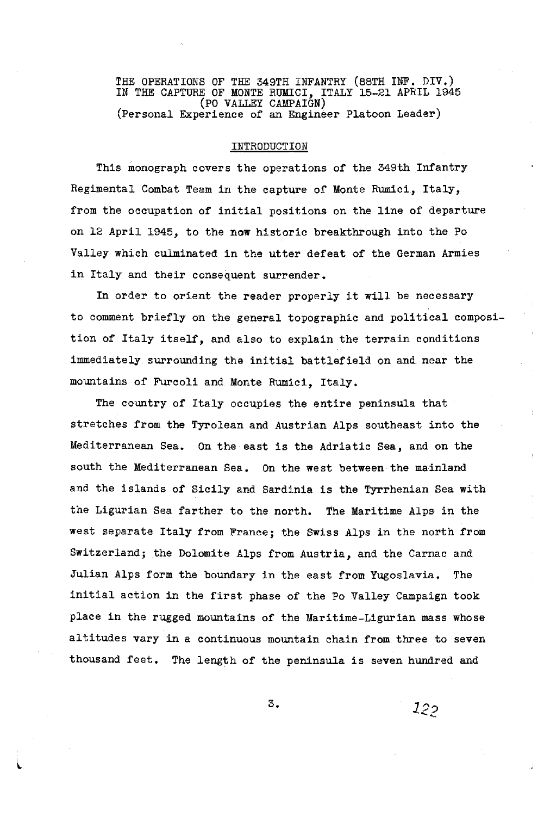THE OPERATIONS OF THE 349TH INFANTRY (88TH INF. DIV.) IN THE CAPTURE OF MONTE RUMICI, ITALY 15-21 APRIL 1945 (PO VALLEY CAWAIGN) (Personal Experience of an Engineer Platoon Leader)

#### INTRODUCTION

This monograph covers the operations of the 349th Infantry Regimental Combat Team in the capture of Monte Rumici, Italy, from the occupation of initial positions on the line of departure on 12 April 1945, to the now historic breakthrough into the Po Valley which culminated in the utter defeat of the German Armies in Italy and their consequent surrender.

In order to orient the reader properly it will be necessary to comment briefly on the general topographic and political composition of Italy itself, and also to explain the terrain conditions immediately surrounding the initial battlefield on and near the mountains of Furcoli and Monte Rumici, Italy.

The country of Italy occupies the entire peninsula that stretches from the Tyrolean and Austrian Alps southeast into the Mediterranean Sea. On the east is the Adriatic Sea, and on the south the Mediterranean Sea. On the west between the mainland and the islands of Sicily and Sardinia is the Tyrrhenian Sea with the Ligurian Sea farther to the north. The Maritime Alps in the west separate Italy from France; the Swiss Alps in the north from Switzerland; the Dolomite Alps from Austria, and the Carnac and Julian Alps form the boundary in the east from Yugoslavia. The initial action in the first phase of the Po Valley Campaign took place in the rugged mountains of the Maritime-Ligurian mass whose altitudes vary in a continuous mountain chain from three to seven thousand feet. The length of the peninsula is seven hundred and

 $122$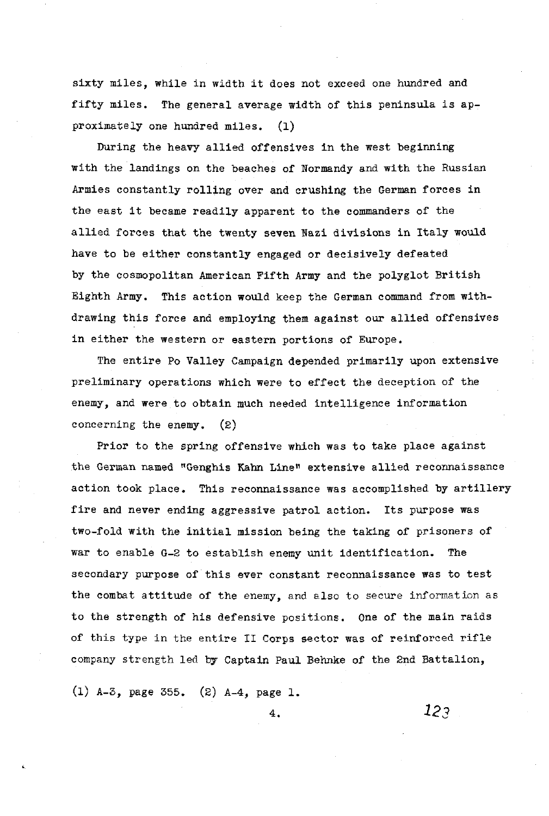sixty miles, while in width it does not exceed one hundred and fifty miles. The general average width of this peninsula is approximately one hundred miles. (1)

During the heavy allied offensives in the west beginning with the landings on the beaches of Normandy and with the Russian Armies constantly rolling over and crushing the German forces in the east it became readily apparent to the commanders of the allied forces that the twenty seven Wazi divisions in Italy would have to be either constantly engaged or decisively defeated by the cosmopolitan American Fifth Army and the polyglot British Eighth Army. This action would keep the German command from withdrawing this force and employing them against our allied offensives in either the western or eastern portions of Europe.

The entire Po Valley Campaign depended primarily upon extensive preliminary operations which were to effect the deception of the enemy, and were to obtain much needed intelligence information concerning the enemy. (2)

Prior to the spring offensive which was to take place against the German named "Genghis **Kahn** Linen extensive allied reconnaissance action took place. This reconnaissance was accomplished by artillery fire and never ending aggressive patrol action. Its purpose was two-fold with the initial mission being the taking of prisoners of war to enable G-2 to establish enemy unit identification. The secondary purpose of this ever constant reconnaissance was to test the combat attitude of the enemy, and also to secure information as to the strength of his defensive positions. One of the main raids of this type in the entire I1 Corps sector was of reinforced rifle company strength led **by** Captain Paul Behnke of the 2nd Battalion,

(1) A-3, page 355. (2) **A-4,** page 1.

123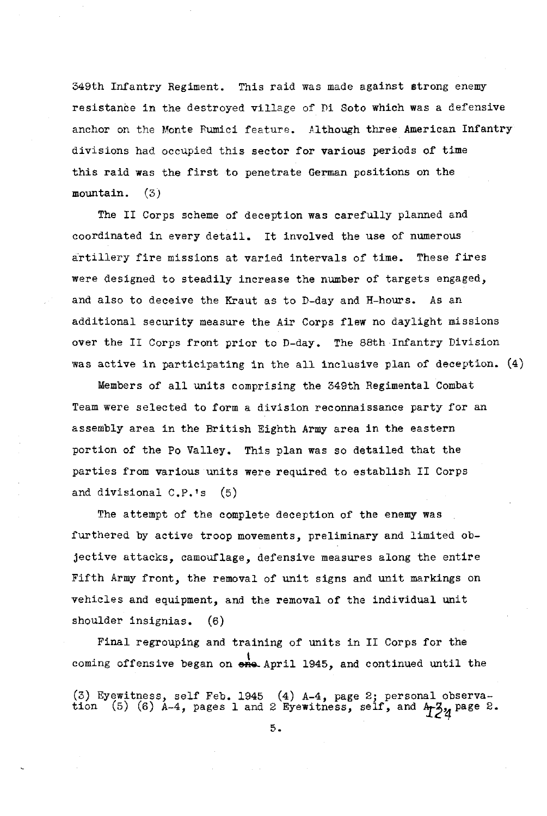349th Infantry Regiment. This raid was made against strong enemy resistance in the destroyed village of Di Soto which was a defensive anchor on the Monte Rumici feature. Although three American Infantry divisions had occupied this sector for various periods of time this raid was the first to penetrate German positions on the mountain. (3)

The I1 Corps scheme of deception was carefully planned and coordinated in every detail. It involved the use of numerous artillery fire missions at varied intervals of time. These fires were designed to steadily increase the number of targets engaged, and also to deceive the Kraut as to D-day and H-hours. As an additional security measure the Air Corps flew no daylight missions over the I1 Corps front prior to D-day. The 88th Infantry Division was active in participating in the all inclusive plan of deception. (4)

Members of all units comprising the 349th Regimental Combat Team were selected to form a division reconnaissance party for an assembly area in the British Eighth Army area in the eastern portion of the Po Valley. This plan was so detailed that the parties from various units were required to establish **I1** Corps and divisional  $C.P.'s$  (5)

The attempt of the complete deception of the enemy was furthered by active troop movements, preliminary and limited objective attacks, camouflage, defensive measures along the entire Fifth Army front, the removal of unit signs and unit markings on vehicles and equipment, and the removal of the individual unit shoulder insignias. (6)

Final regrouping and training of units in **I1** Corps for the coming offensive began on  $\frac{1}{2}$  April 1945, and continued until the

(3) Eyewitness, self Feb. 1945 (4) A-4, page 2; personal observa-<br>tion (5) (6) A-4, pages 1 and 2 Eyewitness, self, and A-3<sub>7</sub> page 2.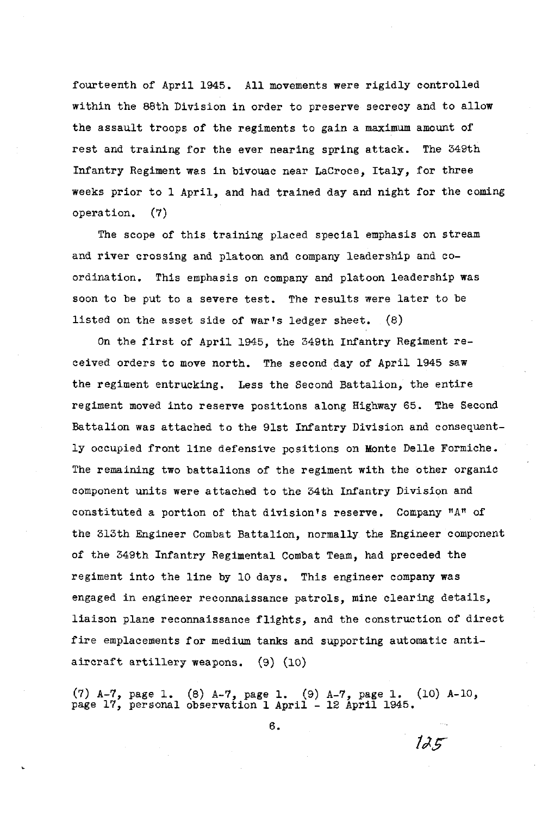fourteenth of April 1945. All movements were rigidly controlled within the 88th Division in order to preserve secrecy and to allow the assault troops of the regiments to gain a maximum amount of rest and training for the ever nearing spring attack. The 349th Infantry Regiment was in bivouac near LaCroce, Italy, for three weeks prior to 1 April, and had trained day and night for the coming operation. (7)

The scope of this training placed special emphasis on stream and river crossing and platoon and company leadership and coordination. This emphasis on company and platoon leadership was soon to be put to a severe test. The results were later to be listed on the asset side of war's ledger sheet.  $(8)$ 

On the first of April 1945, the 349th Infantry Regiment received orders to move north. The second day of April 1945 saw the regiment entrucking. Less the Second Battalion, the entire regiment moved into reserve positions along Highway 65. The Second Battalion was attached to the 91st Infantry Division and consequently occupied front line defensive positions on Monte Delle Formiche. The remaining two battalions of the regiment with the other organic component units were attached to the 34th Infantry Division and constituted a portion of that division's reserve. Company **"All** of the 313th Engineer Combat Battalion, normally the Engineer component of the 349th Infantry Regimental Combat Team, had preceded the regiment into the line by 10 days. This engineer company was engaged in engineer reconnaissance patrols, mine clearing details, liaison plane reconnaissance flights, and the construction of direct fire emplacements for medium tanks and supporting automatic antiaircraft artillery weapons. (9) (10)

(7) A-7, page 1. (8) A-7, page 1. (9) A-7, page 1. (10) A-10, (7) A-7, page 1.  $(8)$  A-7, page 1.  $(9)$  A-7, page 1.<br>page 17, personal observation 1 April - 12 April 1945.

6.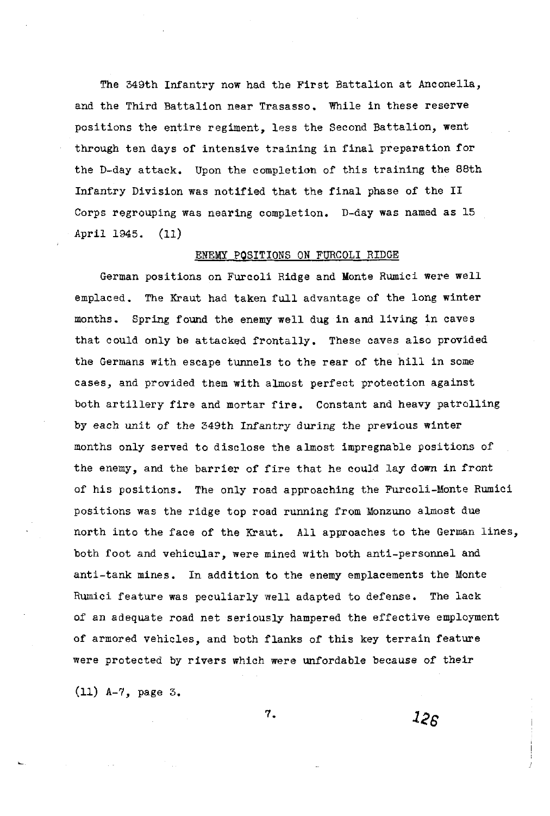The 349th Infantry now had the First Battalion at Anconella, and the Third Battalion near Trasasso. While in these reserve positions the entire regiment, less the Second Battalion, went through ten days of intensive training in final preparation for the D-day attack. Upon the completion of this training the 88th Infantry Division was notified that the final phase of the 11 Corps regrouping was nearing completion. D-day was named as 15 April 1345. (11)

# ENEMY POSITIONS ON FURCOLI RIDGE

German positions on Furcoli Ridge and Monte Rumici were well emplaced. The Kraut had taken full advantage of the long winter months. Spring found the enemy well dug in and living in caves that could only be attacked frontally. These caves also provided the Germans with escape tunnels to the rear of the hill in some cases, and provided them with almost perfect protection against both artillery fire and mortar fire. Constant and heavy patrolling by each unit of the 349th Infantry during the previous winter months only served to disclose the almost impregnable positions of the enemy, and the barrier of fire that he could lay down in front of his positions. The only road approaching the Furcoli-Monte Rumici positions was the ridge top road running from Monzuno almost due north into the face of the Kraut. All approaches to the German lines, both foot and vehicular, were mined with both anti-personnel and anti-tank mines. In addition to the enemy emplacements the Monte Rumici feature was peculiarly well adapted to defense. The lack of an adequate road net seriously hampered the effective employment of armored vehicles, and both flanks of this key terrain feature were protected by rivers which were unfordable because of their

 $(11)$  A-7, page 3.

7.

 $12<sub>6</sub>$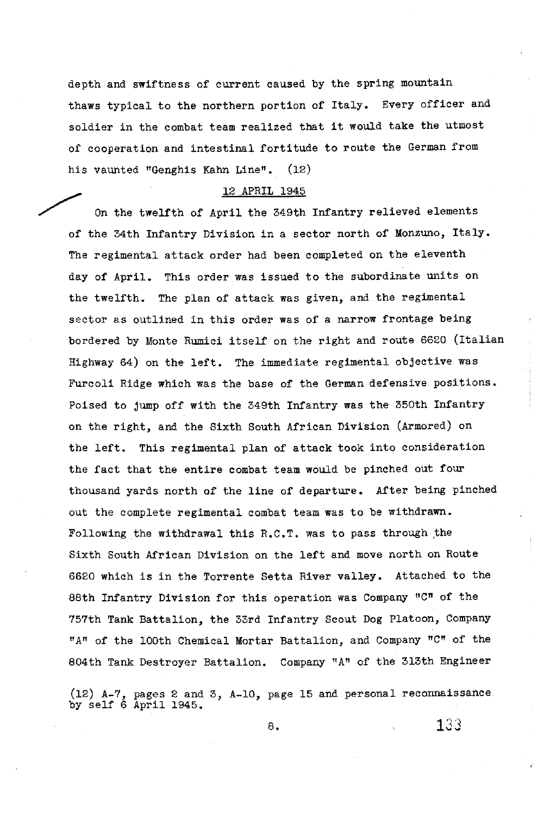depth and swiftness of current caused by the spring mountain thaws typical to the northern portion of Italy. Every officer and soldier in the combat team realized that it would take the utmost of cooperation and intestinal fortitude to route the German from his vaunted "Genghis Kahn Line". (12)

#### 12 APRIL 1945

On the twelfth of April the 349th Infantry relieved elements of the 34th Infantry Division in a sector north of Monzuno, Italy. The regimental attack order had been completed on the eleventh day of April. This order was issued to the subordinate units on the twelfth. The plan of attack was given, and the regimental sector as outlined in this order was of a narrow frontage being bordered by Monte Rumici itself on the right and route 6620 (Italian Highway 64) on the left. The immediate regimental objective was Furcoli Ridge which was the base of the German defensive positions. Poised to jump off with the 349th Infantry was the 350th Infantry on the right, and the Sixth South African Division (Armored) on the left. This regimental plan of attack took into consideration the fact that the entire combat team would be pinched out four thousand yards north of the line of departure. After being pinched out the complete regimental combat team was to be withdrawn. Following the withdrawal this  $R.C.T.$  was to pass through the Sixth South African Division on the left and move north on Route 6620 which is in the Torrente Setta River valley. Attached to the 88th Infantry Division for this operation was Company "C" of the 757th Tank Battalion, the 33rd Infantry Scout Dog Platoon, Company **"An** of the 100th Chemical Mortar Battalion, and Company "Cn of the 804th Tank Destroyer Battalion. Company "A" of the 313th Engineer

(12) A-7, pages 2 and 3, A-10, page 15 and personal reconnaissance by self 6 April 1945.

**8. 13** *2*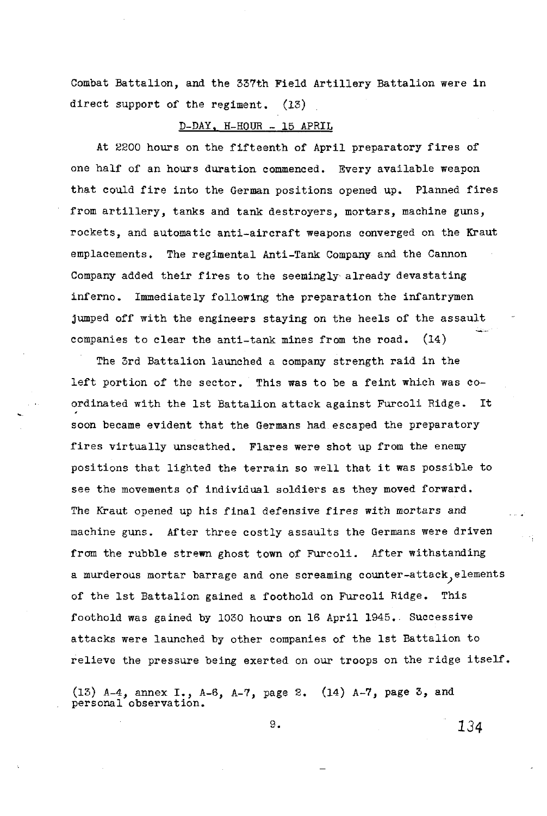Combat Battalion, and the 337th Field Artillery Battalion were in direct support of the regiment. (13)

## D-DAY, **H-HOUR** - 15 APRIL

At 2200 hours on the fifteenth of April preparatory fires of one half of an hours duration commenced. Every available weapon that could fire into the German positions opened up. Planned fires from artillery, tanks and tank destroyers, mortars, machine guns, rockets, and automatic anti-aircraft weapons converged on the Kraut emplacements. The regimental Anti-Tank Company and the Cannon Company added their fires to the seemingly already devastating inferno. Immediately following the preparation the infantrymen jumped off with the engineers staying on the heels of the assault<br>companies to clear the anti-tank mines from the road. (14)

The 3rd Battalion launched a company strength raid in the left portion of the sector. This was to be a feint which was coordinated with the 1st Battalion attack against Furcoli Ridge. It soon became evident that the Germans had escaped the preparatory fires virtually unscathed. Flares were shot up from the enemy positions that lighted the terrain so well that it was possible to see the movements of individual soldiers as they moved forward. The Kraut opened up his final defensive fires with mortars and machine guns. After three costly assaults the Germans were driven from the rubble strewn ghost town of Furcoli. After withstanding a murderous mortar barrage and one screaming counter-attack, elements of the 1st Battalion gained a foothold on Furcoli Ridge. This foothold was gained by 1030 hours on 16 April 1945. Successive attacks were launched by other companies of the 1st Battalion to relieve the pressure being exerted on our troops on the ridge itself.

**(13)** A-4, annex **I:,** A-6, A-7, page 2. (14) A-7, page 3, and personal observatlon.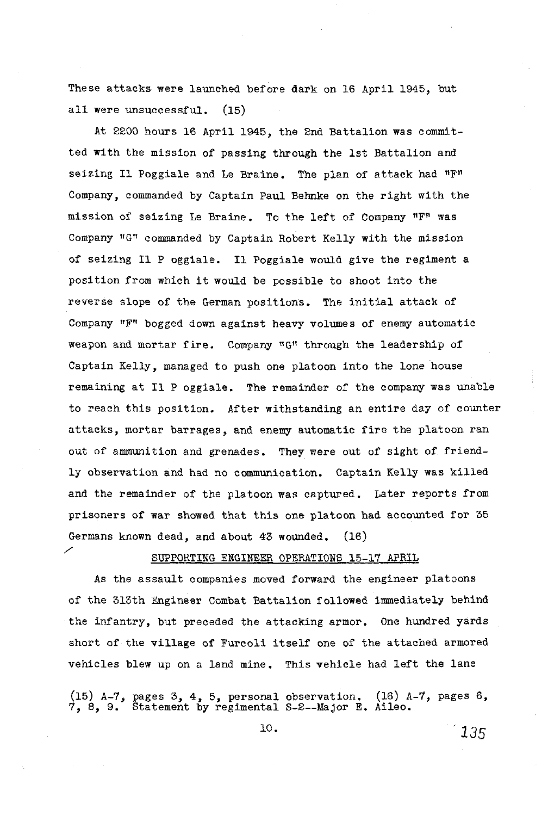These attacks were launched before dark on 16 April 1945, but all were unsuccessful. (15)

At 2200 hours 16 April 1945, the 2nd Battalion was committed with the mission of passing through the 1st Battalion and seizing I1 Poggiale and Le Braine. The plan of attack had **"Fn**  Company, commanded by Captain Paul Behnke on the right with the mission of seizing Le Braine. To the left of Company "F" was Company "G" commanded by Captain Robert Kelly with the mission of seizing I1 P oggiale. I1 Poggiale would give the regiment a position from which it would be possible to shoot into the reverse slope of the German positions. The initial attack of Company **"F"** bogged down against heavy volumes of enemy automatic weapon and mortar fire. Company "G" through the leadership of Captain Kelly, managed to push one platoon into the lone house remaining at I1 P oggiale. The remainder of the company was unable to reach this position. After withstanding an entire day of counter attacks, mortar barrages, and enemy automatic fire the platoon ran out of ammunition and grenades. They were out of sight of friendly observation and had no communication. Captain Kelly was killed and the remainder of the platoon was captured. Later reports from prisoners of war showed that this one platoon had accounted for 35 Germans known dead, and about 43 wounded. (16)<br>
SUPPORTING ENGINEER OPERATIONS 15 19

# SUPPORTING ENGINEER OPERATIONS 15-17 APRIL

As the assault companies moved forward the engineer platoons of the 313th Engineer Combat Battalion followed immediately behind the infantry, but preceded the attacking armor. One hundred yards short of the village of Furcoli itself one of the attached armored vehicles blew up on a land mine. This vehicle had left the lane

(15) A-7, pages 3, 4, *5,* personal observation. (16) A-7, pages 6, 7, 8, 9. Statement by regimental S-2--Major E. Aileo.

10.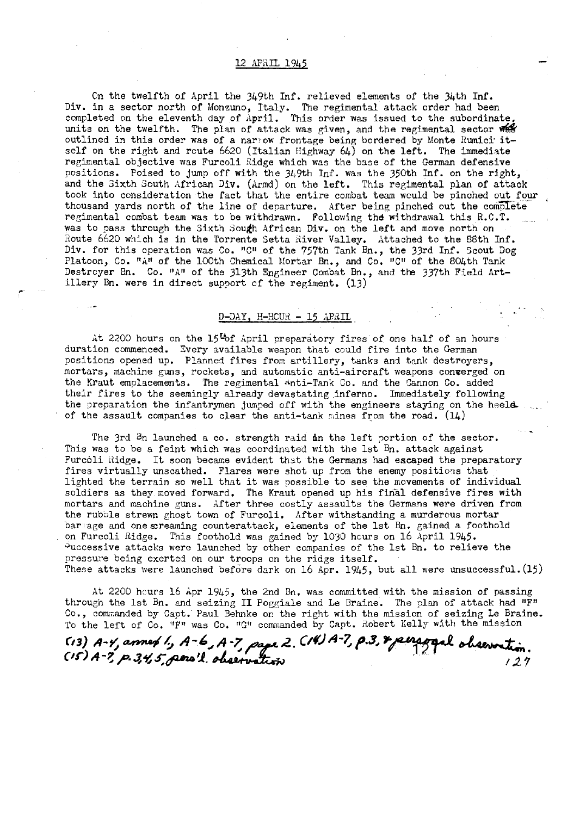#### 12 APRIL 1945

Cn the twelfth of April the 349th Inf. relieved elements of the 34th Inf. Div. in a sector north of Monzuno, Italy. The regimental attack order had been completed on the eleventh day of April. This order was issued to the subordinate. units on the twelfth. The plan of attack was given, and the regimental sector was outlined in this order was of a narrow frontage being bordered by Monte Rumici' it-<br>outlined in this order was of a narrow frontage being bordered by Monte Rumici' itself on the right and route 6620 (Italian Highway 64) on the left. The immediate regimental objective was Furcoli Ridge which was the base of the German defensive positions. Poised to jump off with the 349th Inf. was the 350th Inf. on the right, and the Sixth South African Div. (drmd) on the left. This regimental plan of attack took into consideration the fact that the entire combat team would be pinched out four thousand yards north of the line of departure. After being pinched out the complete regimental combat team was to be withdrawn. Following the withdrawal this R.C.T. was to pass through the Sixth South African Div. on the left and move north on Route 6620 which is in the Torrente Setta River Valley. Attached to the 88th Inf. Div. for this operation was Co. "C" of the 757th Tank Bn., the 33rd Inf. Scout Dog Platoon, Co. "A" of the 100th Chemical Mortar Bn., and Co. "C" of the 804th Tank<br>Destrcyer Bn. Co. "A" of the 313th Engineer Combat Bn., and the 337th Field Artillery Bn. were in direct support of the regiment.  $(13)$ 

# .- . . D-DAY, H-HCUR - 15 APRIL

at 2200 hours on the 15<sup>t</sup> of april preparatory fires of one half of an hours duration commenced. Zvery available weapon that could fire into the German positions opened up. Planned fires from artillery, tanks and tank destroyers, mortars, machine guns, rockets, and automatic anti-aircraft weapons converged on the Xraut emplacements. The regimental Anti-Tank Co. and the Sannon Co. added their fires to the seemingly already devastating inferno. Immediately. following the preparation the infantrymen jumped off with the engineers staying on the heel& of the assault companies to clear the anti-tank mines from the road.  $(14)$ 

- The 3rd  $Bn$  launched a co. strength raid in the left portion of the sector. This was to be a feint which was coordinated with the 1st Bn. attack against Furcoli Ridge. It soon became evident that the Germans had escaped the preparatory fires virtually unscathed. Flares were shot up from the enemy positions that lighted the terrain so well that it was possible to see the movements of individual soldiers as they moved forward. The Kraut opened up his final defensive fires with mortars and machine guns. After three costly assaults the Germans were driven from the rubble strewn ghost town of Furcoli. After withstanding a murdercus mortar barlage and one screaming counterattack, elements of the 1st Bn. gained a foothold on Furcoli Ridge. This foothold was gained by 1030 hours on 16 April 1945. 3uccessive attacks were launched by other canpanies of the 1st Bn. to relieve the pressure being exerted on our troops on the ridge itself. These attacks were launched before dark on 16 Apr. 1945, but all were unsuccessful.  $(15)$ 

At 2200 hours 16 Apr 1945, the 2nd Bn. was committed with the mission of passing through the 1st Bn. and seizing I1 Poggiale and Le Braine. The plan of attack had "F" Co., commanded by Capt. Paul Behnke on the right with the mission of seizing Le Braine. To the left of Co. "F" was Co. "G" commanded by Capt. Robert Kelly with the mission through the 1st Bn. and seizing II Poggiale and Le Braine. The contracted with the state of Co., commanded by Capt. Paul Behnke on the right with the mist To the 1sft of Co. "F" was Co. "G" commanded by Capt. Robert (13)

To the left of Co. "F" was Co. "G" commanded by Capt. Robert Kelly with the mission<br>**CI3) A-Y, annep 1,, A-6, A-7, pape 2. CIVIA-7, p.3, & penapopal observation.**<br>CIS) A-7, p.34, 5, pena'l. observation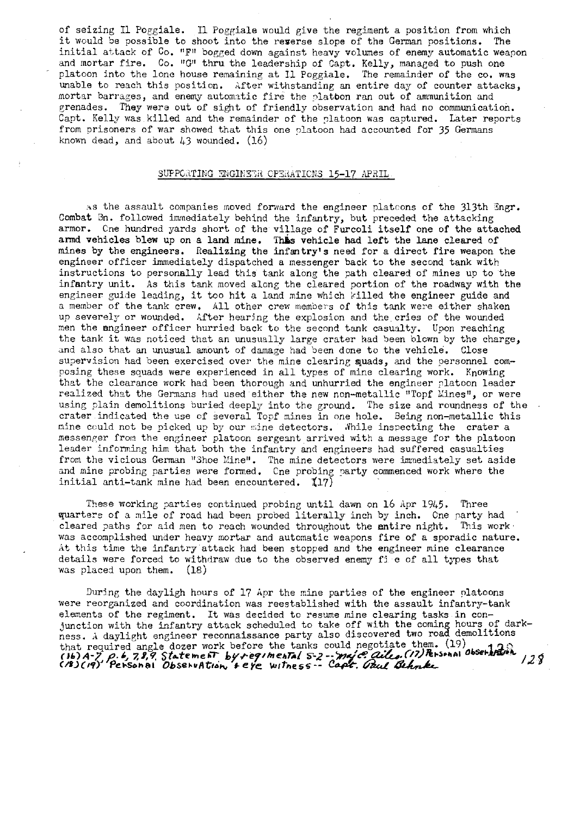of seizing Il Poggiale. Il Poggiale would give the regiment a position from which<br>it would be possible to shoot into the regerse slope of the German positions. The it would be possible to shoot into the reserse slope of the German positions. initial attack of Co. "F" bogged down against heavy volumes of enemy automatic weapon and mortar fire. Co. "G" thru the leadership of Capt. Kelly, managed to push one platoon into the lone house remaining at I1 Poggiale. The remainder of the co. was unable to reach this position. After withstanding an entire day of counter attacks, mortar barrages, and enemy automatic fire the platbon ran out of ammunition and grenades. They were out of sight of friendly observation and had no communication. Capt. Kelly was killed and the remainder of the platoon was captured. Later reports from prisoners of war showed that this one platoon had accounted for 35 Germans known dead, and about  $43$  wounded.  $(16)$ 

#### SUPPORTING ENGINEER OPERATIONS 15-17 APRIL.

as the assault companies moved forward the engineer plateons of the 313th Engr. Combat Bn. followed immediately behind the infantry, but preceded the attacking armor. Cne hundred yards short of the village of Furcoli itself one of the attached armd vehicles blew up on a land mine. This vehicle had left the lane cleared of mines by the engineers. Realizing the infantry's need for a direct fire weapon the engineer officer imnediately dispatched a messenger back to the second tank with instructions to personally lead this tank along the path cleared of mines up to the infantry unit. As this tank moved along the cleared portion of the roadway with the engineer guide leading, it too hit a land mine which killed the engineer guide and a member of the tank crew. All other crew members of this tank were either shaken up severely or wounded. After hearing the explosion and the cries of the wounded men the engineer officer hurried back to the second tank casualty. Upon reaching the tank it was noticed that an unusually large crater had Seen blown by the charge, and also that an unusual amount of damage had been done to the vehicle. Close supervision had been exercised over the mine clearing suads, and the personnel composing these squads were experienced in all types of mine clearing work. Knowing that the clearance work had been thorough and unhurried the engineer platoon leader realized that the Germans had used either the new non-metallic "Topf Mines", or were using plain demolitions buried deeply into the ground. The size and roundness of the crater indicated the use cf several Topf mines in one hole. Being non-metallic this mine could not be picked up by our mine detectors. While inspecting the crater a messenger from the engineer platoon sergeant arrived with a message for the platoon leader informing him that both the infantry and engineers had suffered casualties from the vicious German "Shoe Mine". The mine detectors were immediately set aside and mine probing parties were formed. Cne probing party commenced work where the initial anti-tank mine had been encountered.  $117$ )

These working parties continued probing until dawn on 16 Apr 1945. Three quarters of a mile of road had been probed literally inch by inch. One party had cleared paths for aid men to reach wounded throughout the entire night. This work was accomplished under heavy mortar and automatic weapons fire of a sporadic nature. At this time the infantry attack had been stopped and the engineer mine clearance details were forced to withdraw due to the observed enemy fi e of all types that was placed upon them.  $(18)$ was placed upon them.

During the dayligh hours of 17 Apr the mine parties of the engineer nlatoons were reorganized and coordination was reestablished with the assault infantry-tank elements of the regiment. It was decided to resume mine clearing tasks in conjunction with the infantry attack scheduled to take off with the coming hours of darkness. A daylight engineer reconnaissance party also discovered two road demolitions that required angle dozer work before the tanks could negotiate them. (19) that required angle dozer work before the tanks could hegotiate them. (1)<br>(16) A-7 p. 6, 7, 9, 9 Statement byregimental 5-2-- majc. ailes. (17) Personal observation 129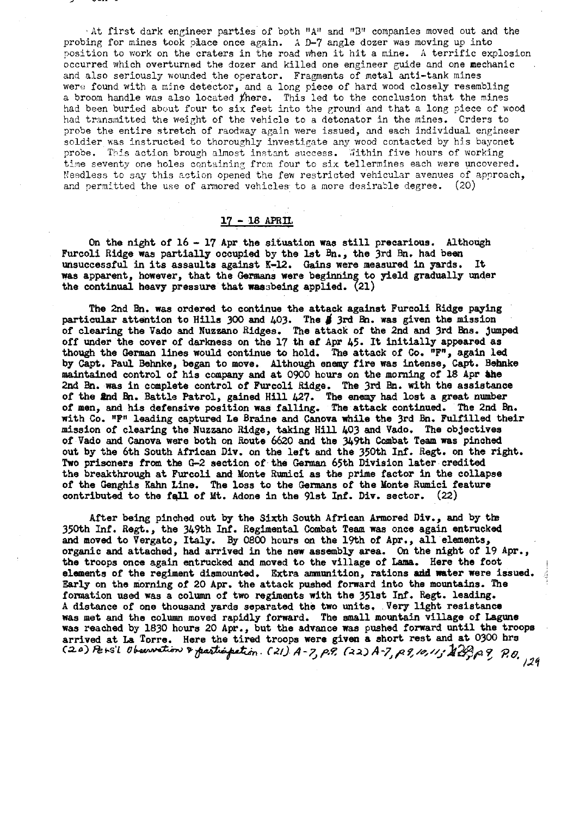At first dark engineer parties of both "A" and "B" companies moved out and the probing for nines took p&ace once again. **A 9-7** angle dozer was moving up into position to work on the craters in the road when it hit a mine. A terrific explosion bccurred which overturned the dozer and killed one engineer guide and one mechanic and also seriously wounded the operator. Fragments of metal anti-tank mines were found with a mine detector, and a long piece of hard wood closely resembling a broom handle was also located  $t$ here. This led to the conclusion that the mines had been buried about four to six feet into the ground and that a long piece of wood had transmitted the weight of the vehicle to a detonator in the mines. Crders to probe the entire stretch of raodway again were issued, and each individual engineer soldier was instructed to thoroughly investigate any wood contacted by his bayonet probe. This action brough almost instant success. Within five hours of working time seventy one holes containing from four to six tellermines each were uncovered. Needless to say this action opened the few restricted vehicular avenues of approach, and permitted the use of armored vehicles to a more desirable degree. (20)

# <sup>17</sup>- 18 APRIL

On the night of 16 - 17 Apr the situation was still precarious. Although Furcoli Ridge was partially occupied by the 1st **Bn.,** the 3rd **Bn.** had been unsuccessful in its assaults against K-12. Gains were measured in yards. It was apparent, however, that the Germans were beginning to yield gradually under the continual heavy pressure that rassbeing applied. (21)

The 2nd **Bn.** was ordered to continue the attack against Furcoli Ridge paying The 2nd Bn. was ordered to continue the attack against Furcoli Ridge paying<br>particular attention to Hills 300 and 403. The  $\sharp$  3rd Bn. was given the mission of clearing the Vado and Nuz8ano Ridges. The attack of the 2nd and 3rd Bns. **juaped**  off under the cover of darkness on the 17 th ef **Apr** 45. It initially appeared as though the German lines would continue to hold. The attack of **Co.** "Fn, again led by Capt. Paul **Behnke,** began to move. Although enemy fire was intense, Capt. Bebnke maintained control of his capany **and** at 0900 hours on the morning of 18 Apr &he **2nd** Bn. was in complete control of Furcoli Ridge. The 3rd **Bn.** with the assistance of the **Pad** &I. Battle Patrol, gained Hill **427.** The **enemy** had lost a great number of men, and his defensive position was falling. The attack continusd. The 2nd **Bn.**  with Co. "F" leading captured Le Braine and Canova while the 3rd Bn. Fulfilled their mission of clearing the Nuezano Ridge, taking Hill 403 and Vado. The objectivea of Vado and Canova were both on Route 6620 and the 349th Combat Team **was** pinched out by the 6th South African Div. on the left and the 350th Inf. Regt. on the right. Two prisoners from the **62** section of the German 65th Division later credited the breakthrough at Furcoli and Monte Rumici as the prime factor in the collapse of the Genghis Kahn Line. The loss to the Germans of the Monte Rumici feature contributed to the fqll of Mt. Adone in the 91st **Id.** Div. sector. (22)

After being pinched out by the Sixth South African Armored Div., and by the 350th Inf. Regt., the 349th Inf. Regimental Combat Team was once again entrucked and moved to Vergato, Italy. By 0800 hours on the 19th of **Apr.,** all elements, organic and attached, had arrived in the new assembly area. **On** the night of 19 Apr., the troops once again entrucked and moved to the village of **Lama.** Here the foot elements of the regiment dismounted. Extra ammunition, rations and water were issued. Bsrly on the morning of 20 **Apr.** the attack pushed forward into the mountains. The formation used was a column of two regiments with the 351st Inf. Regt. leading. **<sup>A</sup>**distance of one thousand yards separated the two units. Very light resistance was met and the column moved rapidly forward. The small **mountain** village of Laguns was reached by 1830 hours 20 **Apr.,** but the advance **was** pushed forward until the troops arrived at La Torre. Here the tired troops were given a short rest and at 0300 hrs **Caa)** *Pers'l Observation* & participation. *C21*) A-7, p.9, C22) A-7, p.9, 10, 11; AB-p.9, P.p

**/2q**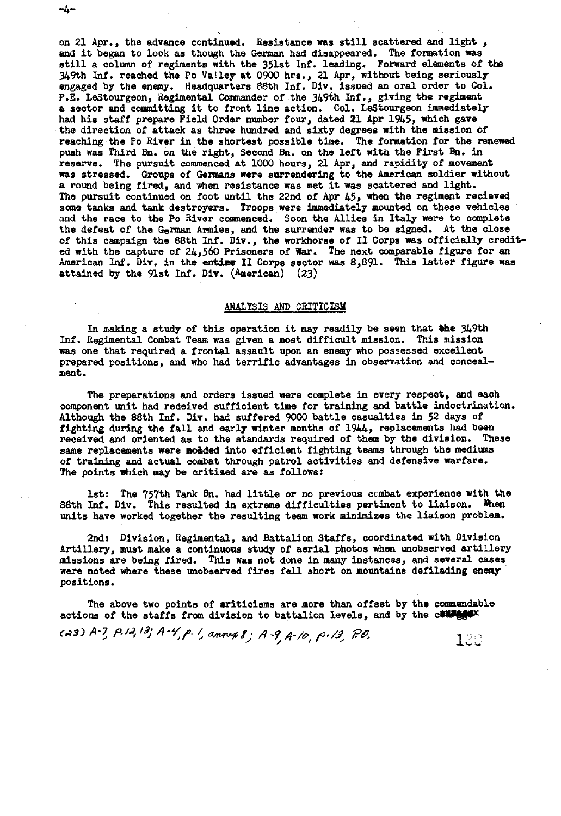on 21 Apr., the advance continued. Resistance was still scattered and light , and it began to look as though the German had disappeared. The formation was still a column of regiments with the 351st Inf. leading. Forward elements of the 349th Inf. reached the Po Valley at 0900 hrs., 21 Apr, without being seriously engaged by the enemy. Headquarters 88th Inf. Div. issued an oral order to Col. P.E. LeStourgeon, Regimental Commander of the 349th Jnf., giving the regiment a sector and committing it to front line action. Col. LeStourgeon immediately had his staff prepare Field Order number four, dated **21** Apr 1945, which gave the direction of attack as three hundred and sixty degrees with the mission of reaching the Po River in the shortest possible time. The formation for the renewed push was Third **Bn.** on the right, Second **Bn.** on the left with the First **k.** in reserve. The pursuit commenced at 1OW hours, 21 Apr, **and** rapidity of movement was stressed. Groups of Germans were surrendering **to** the American soldier without a round being fired, and when resistance was met it was scattered and light. The pursuit continued on foot until the 22nd of Apr 45, when the regiment recieved sane tanks and **tank** destroyers. Troops were immediately mounted on these vehicles and the race to the Po River commenced. Soon the Allies in Italy were to complete the defeat of the **German** Armies, and the surrender was to be signed. At the close of this campaign the 88th Inf. Div., the workhorse of II Corps was officially credited with the capture of 24,560 Prisoners of War. The next comparable figure for an American Inf. Div. in the entire II Corps sector was 8,891. This latter figure was attained by the 91st Inf. Div. (American) (23)

~4−

#### ANALYSIS AND CRITICISM

In making a study of this operation it may readily be seen that the 349th Inf. Hegimental Combat Team was given a most difficult mission. This mission was one that required a frontal assault upon an enemy who possessed excellent prepared positions, and who had terrific advantages in observation and concealment.

The preparations and orders issued were complete in every respect, and each component unit had received sufficient time for training and battle indoctrination. Although the 88th **Inf.** Div. had suffered 9000 battle casualties in 52 days of fighting during the fall and early winter months of  $1944$ , replacements had been received and oriented as to the standards required of them by the division. These received and oriented as to the standards required of them by the division. same replacements were **mohied** into efficient fighting teams through the mediums of training and actual combat through patrol activities and defensive warfare. The points mhich may be critised **are** as follows:

1st: The 757th Tank **Bn.** had little or no previous ccmbat experience with the 88th Inf. Div. This resulted in extreme difficulties pertinent to liaison. When units have worked together the resulting team work minimises the liaison problem.

2nd: Division, Regimental, and Battalion Staffs, coordinated with Division Artillery, must make a continuous study of aerial photos when unobserved srtillerp missions are being fired. This was not done in many instances, and several cases were noted where these unobserved fires fell short on mountains defilading enemy positions.

The above two points of sriticisms are more than offset by the commendable actions of the staffs from division to battalion levels, and by the course

*CJ~)* **b-?** *~-/.7/'3* **A-Yp** // &wu+/; **A-9 p,/? Tfl** / **1,':**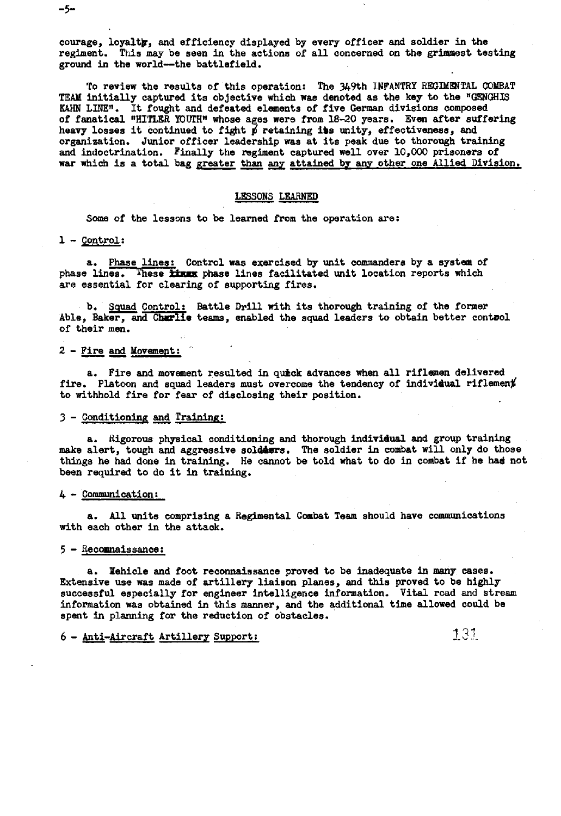courage, loyalty, and efficiency displayed by every officer and soldier in the regiment. This may be seen in the actions of all concerned on the grimmest testing ground in the world--the battlefield.

To review the results of this operation: The 349th INFANTRY REGIMENTAL CObBAT **TEAM** initially captured its objective which was denoted as the key to the **'GPXGHLS**  KAHN **LINE\*.** It fought and defeated elements of five **German** divisions composed of fanatical "HITLER YOUTH" whose ages were from 18-20 years. Even after suffering heavy losses it continued to fight  $p'$  retaining iss unity, effectiveness, and organization. Junior officer leadership was at its peak due to thorough training and indoctrination. Finally the regiment captured well over 10,000 prisoners of war which is a total bag greater than any attained by any other one Allied Division.

#### LESSONS LEARNED

Some of the lessons to be learned **from** the operation are:

#### 1 - Control:

a. Phase lines: Control was exercised by unit commanders by a system of phase lines. These **kkex** phase lines facilitated unit location reports which are essential for clearing of supporting fires.

b. **Squad** Control: Battle Drill with its thorough training of the former Able, Baker, and Churlie teams, enabled the squad leaders to obtain better control of their men. b. Squad<br>, Baker, an<br>heir men.<br>Fire and Mo

# <sup>2</sup>- Fire **and** Movement: '

a. Fire and movement resulted in **quick** advances when all riflamen delivered fire. Platoon and squad leaders must overcome the tendency of individual riflement to withhold fire for fear of disclosing their position.

## 3 - Conditioning and Training:

a. Kigorous physical conditioning and thorough individual and group training make alert, tough and aggressive solders. The soldier in combat will only do those things he had done in training. He cannot be told what to do in combat if he had not been required to do it in training.

#### $4 -$  Communication:

a. All units comprising a Regimental Combat Team should have communications with each other in the attack.

## $5 -$  Recommaissance:

a. Xehicle and foot reconnaissance proved to be inadequate in many cases. Extensive use was made of artillery liaiaon planes, and this proved to be highly successful especially for engineer intelligence information. Vital road and stream information was obtained in this manner, and the additional time allowed could be spent in planning for the reduction of obstacles.

# 6 - Anti-Aircraft Artillery Support:

**131** 

 $-5-$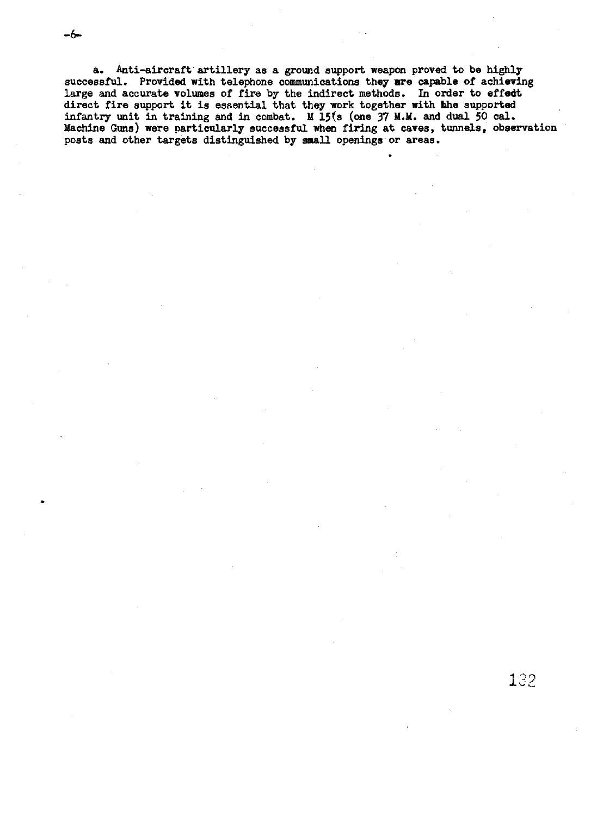-6

a. Anti-aircraft artillery as a ground support weapon proved to be highly successful. Provided with telephone communications they are capable of achieving large and accurate volumes of fire by the indirect methods. In order to effed direct fire support it is essential that they work together with the supported infantry unit in training and in combat. M 15(s (one 37 M.M. and dual 50 cal. Machine Guns) were particularly successful when firing at caves, tunnels, observation posts and other targets distinguished by **small** openings or areas.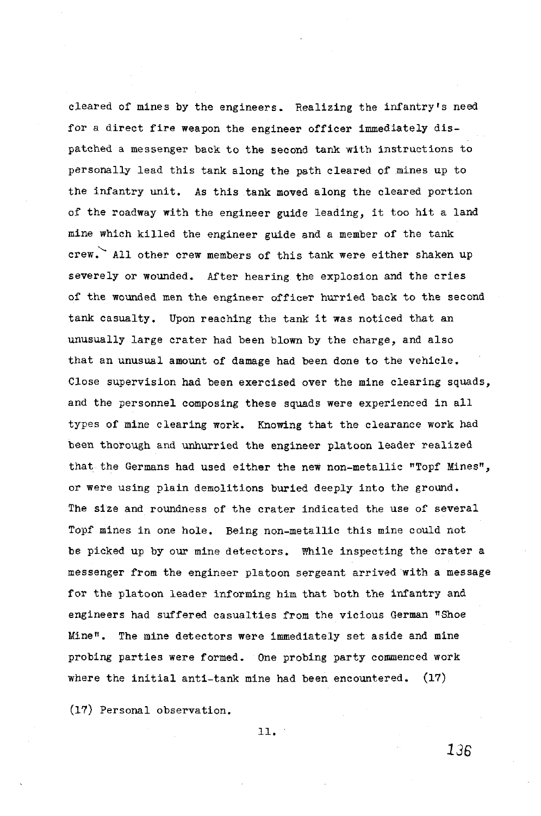cleared of mines by the engineers. Realizing the infantry's need for a direct fire weapon the engineer officer immediately dispatched a messenger back to the second **tank** with instructions to personally lead this tank along the path cleared of mines up to the infantry unit. As this tank moved along the cleared portion of the roadway with the engineer guide leading, it too hit a land mine which killed the engineer guide and a member of the tank **1**  crew. All other crew members of this tank were either shaken up severely or wounded. After hearing the explosion and the cries of the wounded men the engineer officer hurried back to the second tank casualty. Upon reaching the tank it was noticed that an unusually large crater had been blown by the charge, and also that an unusual amount of damage had been done to the vehicle. Close supervision had been exercised over the mine clearing squads, and the personnel composing these squads were experienced in all types of mine clearing work. Knowing that the clearance work had been thorough and unhurried the engineer platoon leader realized that the Germans had used either the new non-metallic "Topf Mines", or were using plain demolitions buried deeply into the ground. The size and roundness of the crater indicated the use of several Topf mines in one hole. Being non-metallic this mine could not be picked up by our mine detectors. mile inspecting the crater a messenger from the engineer platoon sergeant arrived with a message for the platoon leader informing him that both the infantry and engineers had suffered casualties from the vicious German "Shoe Minen. The mine detectors were immediately set aside and mine probing parties were formed. One probing party commenced work where the initial anti-tank mine had been encountered. (17)

(17) Personal observation.

11.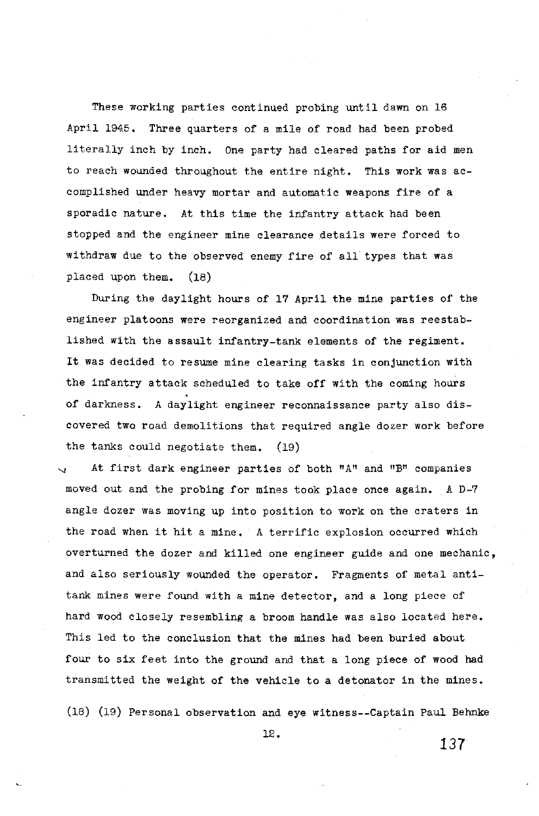These working parties continued probing until dawn on 16 April 1945. Three quarters of a mile of road had been probed literally inch by inch. One party had cleared paths for aid men to reach wounded throughout the entire night. This work was accomplished under heavy mortar and automatic weapons fire of a sporadic nature. At this time the infantry attack had been stopped and the engineer mine clearance details were forced to withdraw due to the observed enemy fire of all types that was placed upon them. (18)

During the daylight hours of 17 April the mine parties of the engineer platoons were reorganized and coordination was reestablished with the assault infantry-tank elements of the regiment. It was decided to resume mine clearing tasks in conjunction with the infantry attack scheduled to take off with the coming hours of darkness. **A** daylight engineer reconnaissance party also discovered two road demolitions that required angle dozer work before the tanks could negotiate them. (19)

At first dark engineer parties of both **"Aw** and **"B"** companies moved out and the probing for mines took place once again. A D-7 angle dozer was moving up into position to work on the craters in the road when it hit a mine. **A** terrific explosion occurred which overturned the dozer and killed one engineer guide and one mechanic, and also seriously wounded the operator. Fragments of metal antitank mines were found with a mine detector, and a long piece of hard wood closely resembling a broom handle was also located here. This led to the conclusion that the mines had been buried about four to six feet into the ground and that a long piece of wood had transmitted the weight of the vehicle to a detonator in the mines.

(18) (19) Personal observation and eye witness--Captain Paul Behnke

12.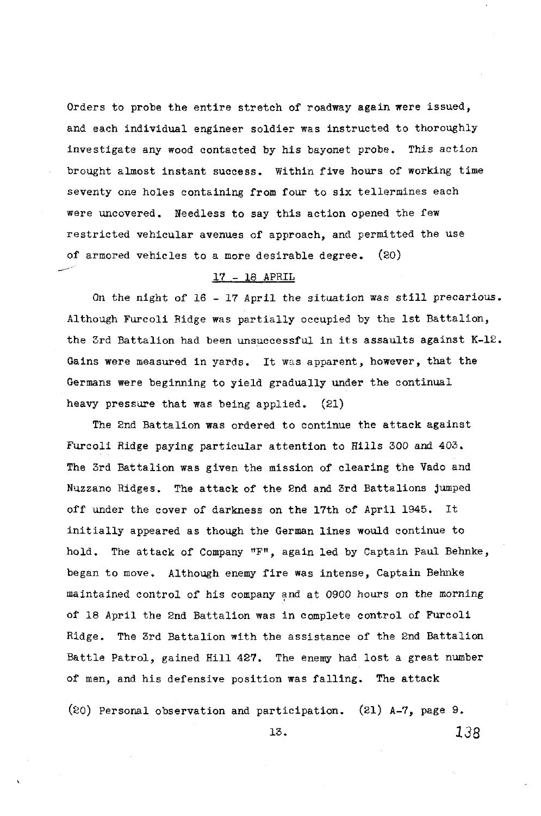Orders to probe the entire stretch of roadway again were issued, and each individual engineer soldier was instructed to thoroughly investigate any wood contacted by his bayonet probe. This action brought almost instant success. Within five hours of working time seventy one holes contsining from four to six tellermines each were uncovered. Needless to say this action opened the few restricted vehicular avenues of approach, and permitted the use of armored vehicles to a more desirable degree.  $(20)$ 

# <sup>17</sup>- 18 APRIL

On the night of 16 - 17 April the situation **was** still precarious. Although Furcoli Ridge was partially occupied by the 1st Battalion, the 3rd Battalion had been unsuccessful in its assaults against K-12. Gains were measured in yards. It was apparent, however, that the Germans were beginning to yield gradually under the continual heavy pressure that was being applied. (21)

The 2nd Battalion was ordered to continue the attack against Furcoli Ridge paying particular attention to Rills 300 and 403. The 3rd Battalion was given the mission of clearing the Vado and Nuzzano Ridges. The attack of the 2nd and 3rd Battalions jumped off under the cover of darkness on the 17th of April 1945. It initially appeared as though the German lines would continue to hold. The attack of Company **"FW,** again led by Captain **Paul** Behnke, began to move. Although enemy fire was intense, Captain Behnke maintained control of his company and at 0900 hours on the morning of 18 April the 2nd Battalion was in complete control of Furcoli Ridge. The 3rd Battalion with the assistance of the 2nd Battalion Battle Patrol, gained Rill 427. The enemy had lost a great number of men, and his defensive position was falling. The attack

(20) Personal observation and participation. (21)  $A-T$ , page 9. 13. **138**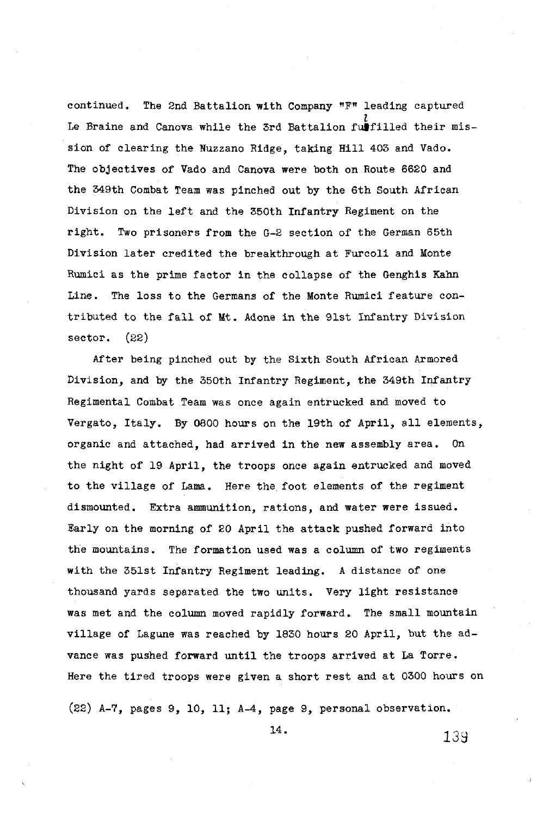continued. The 2nd Battalion with Company **"F"** leading captured Le Braine and Canova while the 3rd Battalion funcilled their mission of clearing the Nuzzano Ridge, taking Hill 403 and Vado. The objectives of Vado and Canova were both on Route 6620 and the 349th Combat Team was pinched out by the 6th South African Division on the left and the 350th Infantry Regiment on the right. Two prisoners from the G-2 section of the German 65th Division later credited the breakthrough at Furcoli and Monte Rumici as **the** prime factor in the collapse of the Genghis Kahn Line. The loss to the Germans of the Monte Rwnici feature contributed to the fall of Mt. Adone in the 91st Infantry Division sector. (22)

After being pinched out by the Sixth South African Armored Division, and by the 350th Infantry Regiment, the 349th Infantry Regimental Combat Team was once again entrucked and moved to Vergato, Italy. By 0800 hours on the 19th of April, all elements, organic and attached, had arrived in the new assembly area. On the night of 19 April, the troops once again entrucked and moved to the village of Lama. Here the foot elements of the regiment dismounted. Extra ammunition, rations, and water were issued. Early on the morning of 20 April the attack pushed forward into the mountains. The formation used was a column of two regiments with the 351st Infantry Regiment leading. A distance of one thousand yards separated the two units. Very light resistance was met and the column moved rapidly forward. The small mountain village of Lagune was reached by 1830 hours 20 April, but the advance was pushed forward until the troops arrived at La Torre. Here the tired troops were given a short rest and at 0300 hours on

(22) A-7, pages 9, 10, 11; A-4, page 9, personal observation.

14.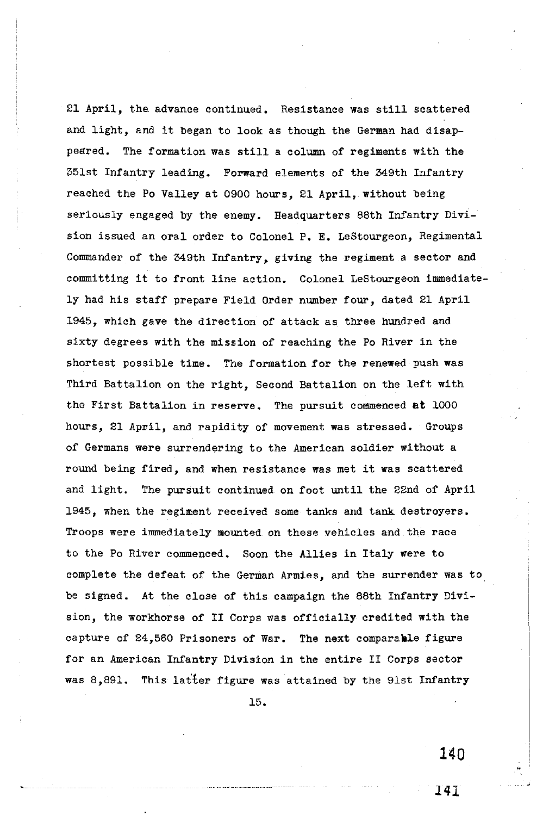21 April, the advance continued. Resistance was still scattered and light, and it began to look as though the German had disappeared. The formation was still a column of regiments with the 351st Infantry leading. Forward elements of the 349th Infantry reached the Po Valley at 0900 hours, 21 April, without being Seriously engaged by the enemy. Headquarters 88th Infantry Division issued an oral order to Colonel P. E. LeStourgeon, Regimental Commander of the 349th Infantry, giving the regiment a sector and committing it to front line action. Colonel LeStourgeon immediately had his staff prepare Field Order number four, dated 21 April 1945, which gave the direction of attack as three hundred and sixty degrees with the mission of reaching the Po River in the shortest possible time. The formation for the renewed push was Third Battalion on the right, Second Battalion on the left with the First Battalion in reserve. The pursuit commenced at **1000**  hours, 21 April, and rapidity of movement was stressed. Groups of Germans were surrendering to the American soldier without a round being fired, and when resistance was met it was scattered and light. The pursuit continued on foot until the 22nd of April 1945, when the regiment received some tanks and tank destroyers. Troops were immediately mounted on these vehicles and the race to the Po River commenced. Soon the Allies in Italy were to complete the defeat of the German Armies, and the surrender was to be signed. At the close of this campaign the 88th Infantry Division, the workhorse of I1 Corps was officially credited with the capture of 24,560 Prisoners of War. The next comparable figure for an American Infantry Division in the entire I1 Corps sector was 8,891. This latter figure was attained by the 91st Infantry

15.

140

I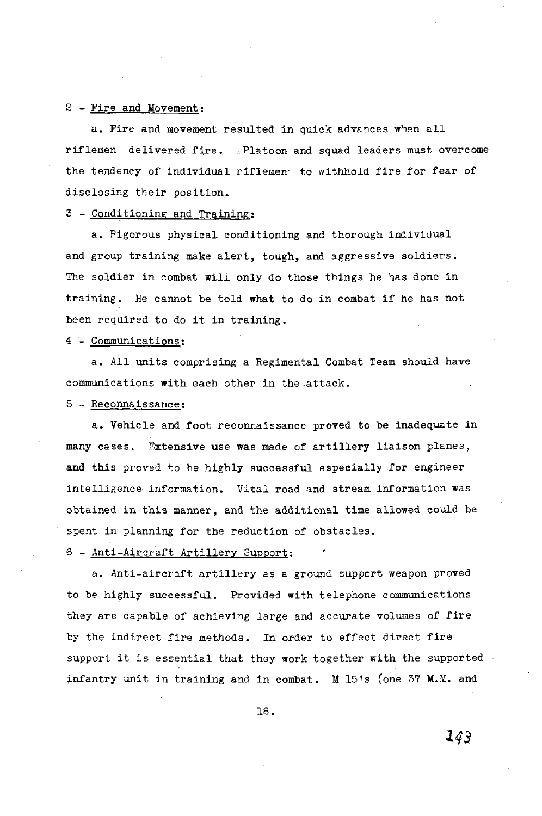# <sup>2</sup>- Fire and Movement:

a. Fire and movement resulted in quick advances when all riflemen delivered fire. Platoon and squad leaders must overcome the tendency of individual riflemen. to withhold fire for fear of disclosing their position.

# 3 - Conditioning and Training:

a. Rigorous physical. conditioning and thorough individual and group training make alert, tough, and aggressive soldiers. The soldier in combat will only do those things he has done in training. He cannot be told what to do in combat if he has not been required to do it in training.

## 4 - Communications:

a. All units comprising a Regimental Combat Team shoud have communications with each other in the attack.

# 5 - Reconnaissance:

a. Vehicle and foot reconnaissance proved to be inadequate in many cases. Txtensive use was made of artillery liaison planes, and this proved to **bs** highly successful especially for engineer intelligence information. Vital road and stream information was obtained in this manner, and the additional time allowed could be spent in planning for the reduction of obstacles.

6 - Anti-Aircraft Artillery Support:

a. Anti-aircraft artillery as a ground support weapon proved to be highly successful. Provided with telephone communications they are capable of achieving large and accurate volumes of fire by the indirect fire methods. In order to effect direct fire support it is essential that they work together with the supported infantry unit in training and in combat. M 15's (one 37 **M.M.** and

18.